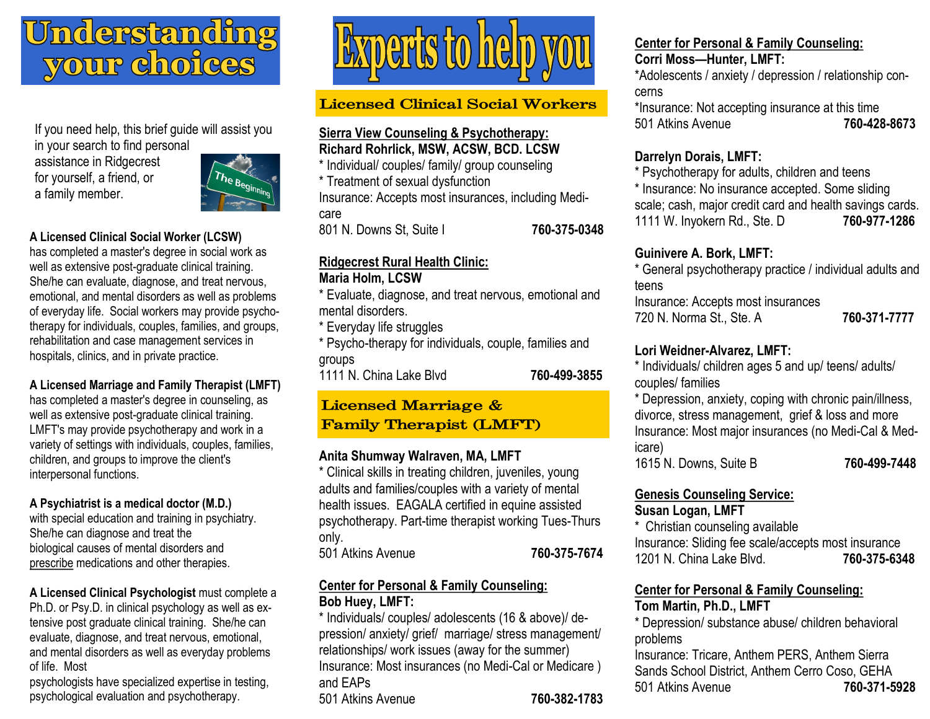# <u>Understanding</u> your choices

If you need help, this brief guide will assist you in your search to find personal

assistance in Ridgecrest for yourself, a friend, or a family member.



## **A Licensed Clinical Social Worker (LCSW)**

has completed a master's degree in social work as well as extensive post-graduate clinical training. She/he can evaluate, diagnose, and treat nervous, emotional, and mental disorders as well as problems of everyday life. Social workers may provide psychotherapy for individuals, couples, families, and groups, rehabilitation and case management services in hospitals, clinics, and in private practice.

**A Licensed Marriage and Family Therapist (LMFT)** 

has completed a master's degree in counseling, as well as extensive post-graduate clinical training. LMFT's may provide psychotherapy and work in a variety of settings with individuals, couples, families, children, and groups to improve the client's interpersonal functions.

## **A Psychiatrist is a medical doctor (M.D.)**

with special education and training in psychiatry. She/he can diagnose and treat the biological causes of mental disorders and prescribe medications and other therapies.

**A Licensed Clinical Psychologist** must complete a Ph.D. or Psy.D. in clinical psychology as well as extensive post graduate clinical training. She/he can evaluate, diagnose, and treat nervous, emotional, and mental disorders as well as everyday problems of life. Most

psychologists have specialized expertise in testing, psychological evaluation and psychotherapy.



## **Licensed Clinical Social Workers**

## **Sierra View Counseling & Psychotherapy: Richard Rohrlick, MSW, ACSW, BCD. LCSW**

\* Individual/ couples/ family/ group counseling

\* Treatment of sexual dysfunction

Insurance: Accepts most insurances, including Medicare

801 N. Downs St, Suite I **760-375-0348**

## **Ridgecrest Rural Health Clinic:**

## **Maria Holm, LCSW**

\* Evaluate, diagnose, and treat nervous, emotional and mental disorders.

\* Everyday life struggles

\* Psycho-therapy for individuals, couple, families and groups

1111 N. China Lake Blvd **760-499-3855**

## **Licensed Marriage & Family Therapist (LMFT)**

## **Anita Shumway Walraven, MA, LMFT**

\* Clinical skills in treating children, juveniles, young adults and families/couples with a variety of mental health issues. EAGALA certified in equine assisted psychotherapy. Part-time therapist working Tues-Thurs only. 501 Atkins Avenue **760-375-7674**

## **Center for Personal & Family Counseling: Bob Huey, LMFT:**

\* Individuals/ couples/ adolescents (16 & above)/ depression/ anxiety/ grief/ marriage/ stress management/ relationships/ work issues (away for the summer) Insurance: Most insurances (no Medi-Cal or Medicare ) and EAPs 501 Atkins Avenue **760-382-1783**

#### **Center for Personal & Family Counseling: Corri Moss—Hunter, LMFT:**

\*Adolescents / anxiety / depression / relationship concerns

\*Insurance: Not accepting insurance at this time 501 Atkins Avenue **760-428-8673**

## **Darrelyn Dorais, LMFT:**

\* Psychotherapy for adults, children and teens \* Insurance: No insurance accepted. Some sliding scale; cash, major credit card and health savings cards. 1111 W. Inyokern Rd., Ste. D **760-977-1286**

## **Guinivere A. Bork, LMFT:**

\* General psychotherapy practice / individual adults and teens Insurance: Accepts most insurances 720 N. Norma St., Ste. A **760-371-7777**

## **Lori Weidner-Alvarez, LMFT:**

\* Individuals/ children ages 5 and up/ teens/ adults/ couples/ families

\* Depression, anxiety, coping with chronic pain/illness, divorce, stress management, grief & loss and more Insurance: Most major insurances (no Medi-Cal & Medicare)

1615 N. Downs, Suite B **760-499-7448**

## **Genesis Counseling Service:**

## **Susan Logan, LMFT**

\* Christian counseling available Insurance: Sliding fee scale/accepts most insurance 1201 N. China Lake Blvd. **760-375-6348**

## **Center for Personal & Family Counseling:**

## **Tom Martin, Ph.D., LMFT**

\* Depression/ substance abuse/ children behavioral problems

Insurance: Tricare, Anthem PERS, Anthem Sierra Sands School District, Anthem Cerro Coso, GEHA 501 Atkins Avenue **760-371-5928**